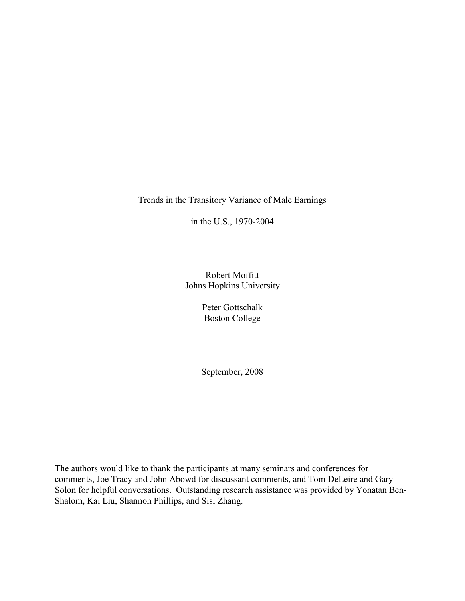Trends in the Transitory Variance of Male Earnings

in the U.S., 1970-2004

Robert Moffitt Johns Hopkins University

> Peter Gottschalk Boston College

> September, 2008

The authors would like to thank the participants at many seminars and conferences for comments, Joe Tracy and John Abowd for discussant comments, and Tom DeLeire and Gary Solon for helpful conversations. Outstanding research assistance was provided by Yonatan Ben-Shalom, Kai Liu, Shannon Phillips, and Sisi Zhang.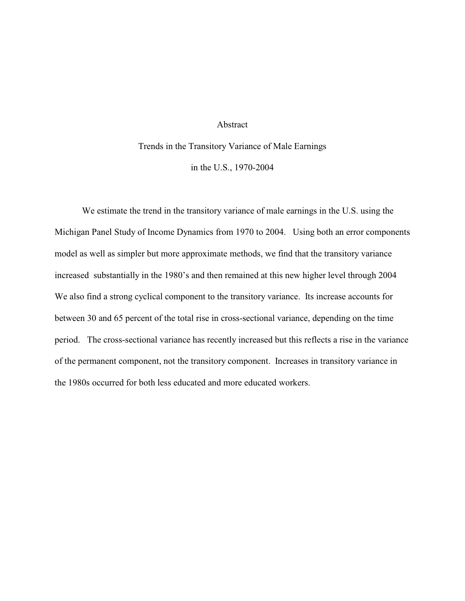### Abstract

Trends in the Transitory Variance of Male Earnings in the U.S., 1970-2004

We estimate the trend in the transitory variance of male earnings in the U.S. using the Michigan Panel Study of Income Dynamics from 1970 to 2004. Using both an error components model as well as simpler but more approximate methods, we find that the transitory variance increased substantially in the 1980's and then remained at this new higher level through 2004 We also find a strong cyclical component to the transitory variance. Its increase accounts for between 30 and 65 percent of the total rise in cross-sectional variance, depending on the time period. The cross-sectional variance has recently increased but this reflects a rise in the variance of the permanent component, not the transitory component. Increases in transitory variance in the 1980s occurred for both less educated and more educated workers.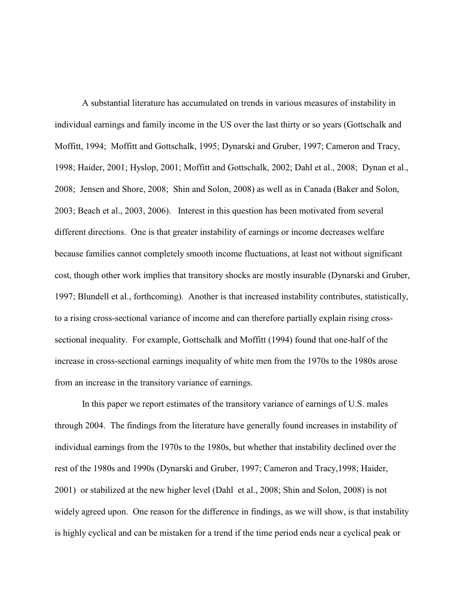A substantial literature has accumulated on trends in various measures of instability in individual earnings and family income in the US over the last thirty or so years (Gottschalk and Moffitt, 1994; Moffitt and Gottschalk, 1995; Dynarski and Gruber, 1997; Cameron and Tracy, 1998; Haider, 2001; Hyslop, 2001; Moffitt and Gottschalk, 2002; Dahl et al., 2008; Dynan et al., 2008; Jensen and Shore, 2008; Shin and Solon, 2008) as well as in Canada (Baker and Solon, 2003; Beach et al., 2003, 2006). Interest in this question has been motivated from several different directions. One is that greater instability of earnings or income decreases welfare because families cannot completely smooth income fluctuations, at least not without significant cost, though other work implies that transitory shocks are mostly insurable (Dynarski and Gruber, 1997; Blundell et al., forthcoming). Another is that increased instability contributes, statistically, to a rising cross-sectional variance of income and can therefore partially explain rising crosssectional inequality. For example, Gottschalk and Moffitt (1994) found that one-half of the increase in cross-sectional earnings inequality of white men from the 1970s to the 1980s arose from an increase in the transitory variance of earnings.

In this paper we report estimates of the transitory variance of earnings of U.S. males through 2004. The findings from the literature have generally found increases in instability of individual earnings from the 1970s to the 1980s, but whether that instability declined over the rest of the 1980s and 1990s (Dynarski and Gruber, 1997; Cameron and Tracy,1998; Haider, 2001) or stabilized at the new higher level (Dahl et al., 2008; Shin and Solon, 2008) is not widely agreed upon. One reason for the difference in findings, as we will show, is that instability is highly cyclical and can be mistaken for a trend if the time period ends near a cyclical peak or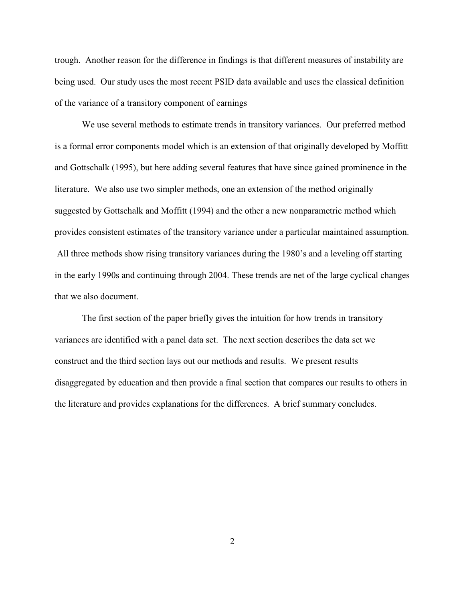trough. Another reason for the difference in findings is that different measures of instability are being used. Our study uses the most recent PSID data available and uses the classical definition of the variance of a transitory component of earnings

We use several methods to estimate trends in transitory variances. Our preferred method is a formal error components model which is an extension of that originally developed by Moffitt and Gottschalk (1995), but here adding several features that have since gained prominence in the literature. We also use two simpler methods, one an extension of the method originally suggested by Gottschalk and Moffitt (1994) and the other a new nonparametric method which provides consistent estimates of the transitory variance under a particular maintained assumption. All three methods show rising transitory variances during the 1980's and a leveling off starting in the early 1990s and continuing through 2004. These trends are net of the large cyclical changes that we also document.

The first section of the paper briefly gives the intuition for how trends in transitory variances are identified with a panel data set. The next section describes the data set we construct and the third section lays out our methods and results. We present results disaggregated by education and then provide a final section that compares our results to others in the literature and provides explanations for the differences. A brief summary concludes.

2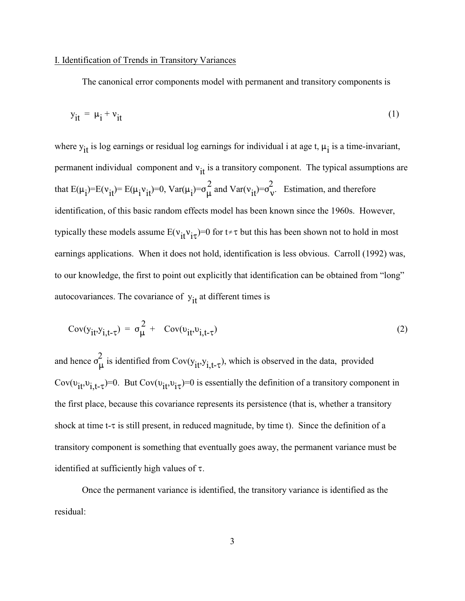### I. Identification of Trends in Transitory Variances

The canonical error components model with permanent and transitory components is

$$
y_{it} = \mu_i + v_{it} \tag{1}
$$

where  $y_{it}$  is log earnings or residual log earnings for individual i at age t,  $\mu_i$  is a time-invariant, permanent individual component and  $v_{it}$  is a transitory component. The typical assumptions are that  $E(u) = E(v) = E(u, v) = 0$   $Var(u) = \frac{2}{2}$  and  $Var(v) = \frac{2}{2}$ that  $E(\mu_i)=E(\nu_i)=E(\mu_i\nu_{i\uparrow})=0$ ,  $Var(\mu_i)=\sigma_{\mu}^2$  and  $Var(\nu_{i\uparrow})=\sigma_{\nu}^2$ . Estimation, and therefore identification, of this basic random effects model has been known since the 1960s. However, typically these models assume  $E(v_{it}v_{it})=0$  for  $t \neq \tau$  but this has been shown not to hold in most earnings applications. When it does not hold, identification is less obvious. Carroll (1992) was, to our knowledge, the first to point out explicitly that identification can be obtained from "long" autocovariances. The covariance of  $y_{it}$  at different times is

$$
Cov(y_{it}, y_{i,t-\tau}) = \sigma_{\mu}^{2} + Cov(v_{it}, v_{i,t-\tau})
$$
\n(2)

and hange  $\sigma^2$ and hence  $\sigma_{\mu}^2$  is identified from Cov( $y_{it}$ , $y_{i,t-\tau}$ ), which is observed in the data, provided Cov( $v_{it}$ , $v_{i,t-\tau}$ )=0. But Cov( $v_{it}$ , $v_{i\tau}$ )=0 is essentially the definition of a transitory component in the first place, because this covariance represents its persistence (that is, whether a transitory shock at time t- $\tau$  is still present, in reduced magnitude, by time t). Since the definition of a transitory component is something that eventually goes away, the permanent variance must be identified at sufficiently high values of  $\tau$ .

Once the permanent variance is identified, the transitory variance is identified as the residual: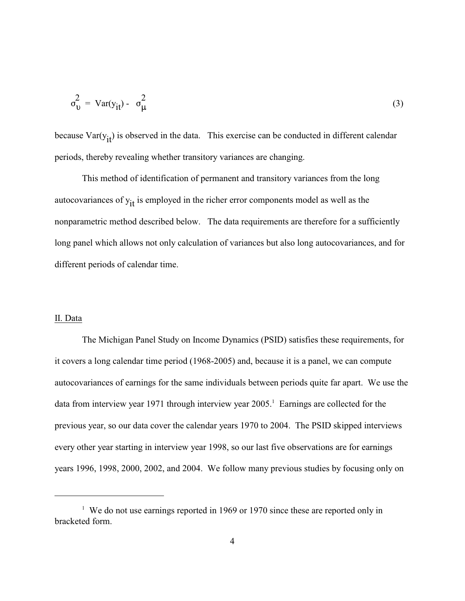$$
\sigma_{\mathbf{U}}^2 = \text{Var}(y_{it}) - \sigma_{\mu}^2 \tag{3}
$$

because  $Var(y_{it})$  is observed in the data. This exercise can be conducted in different calendar periods, thereby revealing whether transitory variances are changing.

This method of identification of permanent and transitory variances from the long autocovariances of  $y_{it}$  is employed in the richer error components model as well as the nonparametric method described below. The data requirements are therefore for a sufficiently long panel which allows not only calculation of variances but also long autocovariances, and for different periods of calendar time.

### II. Data

The Michigan Panel Study on Income Dynamics (PSID) satisfies these requirements, for it covers a long calendar time period (1968-2005) and, because it is a panel, we can compute autocovariances of earnings for the same individuals between periods quite far apart. We use the data from interview year 1971 through interview year 2005.<sup>1</sup> Earnings are collected for the previous year, so our data cover the calendar years 1970 to 2004. The PSID skipped interviews every other year starting in interview year 1998, so our last five observations are for earnings years 1996, 1998, 2000, 2002, and 2004. We follow many previous studies by focusing only on

<sup>&</sup>lt;sup>1</sup> We do not use earnings reported in 1969 or 1970 since these are reported only in bracketed form.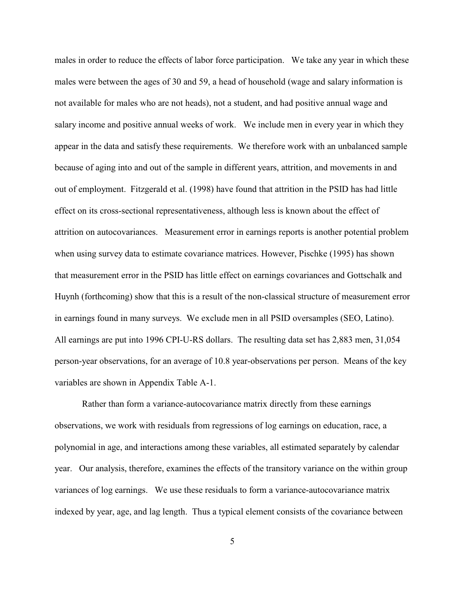males in order to reduce the effects of labor force participation. We take any year in which these males were between the ages of 30 and 59, a head of household (wage and salary information is not available for males who are not heads), not a student, and had positive annual wage and salary income and positive annual weeks of work. We include men in every year in which they appear in the data and satisfy these requirements. We therefore work with an unbalanced sample because of aging into and out of the sample in different years, attrition, and movements in and out of employment. Fitzgerald et al. (1998) have found that attrition in the PSID has had little effect on its cross-sectional representativeness, although less is known about the effect of attrition on autocovariances. Measurement error in earnings reports is another potential problem when using survey data to estimate covariance matrices. However, Pischke (1995) has shown that measurement error in the PSID has little effect on earnings covariances and Gottschalk and Huynh (forthcoming) show that this is a result of the non-classical structure of measurement error in earnings found in many surveys. We exclude men in all PSID oversamples (SEO, Latino). All earnings are put into 1996 CPI-U-RS dollars. The resulting data set has 2,883 men, 31,054 person-year observations, for an average of 10.8 year-observations per person. Means of the key variables are shown in Appendix Table A-1.

Rather than form a variance-autocovariance matrix directly from these earnings observations, we work with residuals from regressions of log earnings on education, race, a polynomial in age, and interactions among these variables, all estimated separately by calendar year. Our analysis, therefore, examines the effects of the transitory variance on the within group variances of log earnings. We use these residuals to form a variance-autocovariance matrix indexed by year, age, and lag length. Thus a typical element consists of the covariance between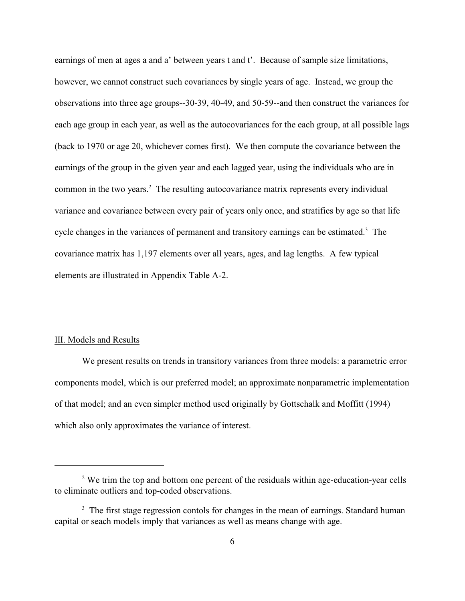earnings of men at ages a and a' between years t and t'. Because of sample size limitations, however, we cannot construct such covariances by single years of age. Instead, we group the observations into three age groups--30-39, 40-49, and 50-59--and then construct the variances for each age group in each year, as well as the autocovariances for the each group, at all possible lags (back to 1970 or age 20, whichever comes first). We then compute the covariance between the earnings of the group in the given year and each lagged year, using the individuals who are in common in the two years. $\frac{2}{3}$  The resulting autocovariance matrix represents every individual variance and covariance between every pair of years only once, and stratifies by age so that life cycle changes in the variances of permanent and transitory earnings can be estimated.<sup>3</sup> The covariance matrix has 1,197 elements over all years, ages, and lag lengths. A few typical elements are illustrated in Appendix Table A-2.

### III. Models and Results

We present results on trends in transitory variances from three models: a parametric error components model, which is our preferred model; an approximate nonparametric implementation of that model; and an even simpler method used originally by Gottschalk and Moffitt (1994) which also only approximates the variance of interest.

 $2$  We trim the top and bottom one percent of the residuals within age-education-year cells to eliminate outliers and top-coded observations.

 $3\text{ The first stage regression controls for changes in the mean of earnings. Standard human$ capital or seach models imply that variances as well as means change with age.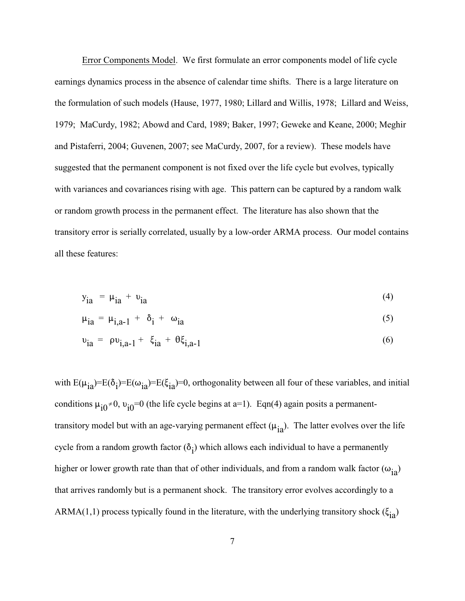Error Components Model. We first formulate an error components model of life cycle earnings dynamics process in the absence of calendar time shifts. There is a large literature on the formulation of such models (Hause, 1977, 1980; Lillard and Willis, 1978; Lillard and Weiss, 1979; MaCurdy, 1982; Abowd and Card, 1989; Baker, 1997; Geweke and Keane, 2000; Meghir and Pistaferri, 2004; Guvenen, 2007; see MaCurdy, 2007, for a review). These models have suggested that the permanent component is not fixed over the life cycle but evolves, typically with variances and covariances rising with age. This pattern can be captured by a random walk or random growth process in the permanent effect. The literature has also shown that the transitory error is serially correlated, usually by a low-order ARMA process. Our model contains all these features:

$$
y_{ia} = \mu_{ia} + \nu_{ia} \tag{4}
$$

$$
\mu_{ia} = \mu_{i,a-1} + \delta_i + \omega_{ia} \tag{5}
$$

$$
v_{ia} = \rho v_{i,a-1} + \xi_{ia} + \theta \xi_{i,a-1}
$$
 (6)

with  $E(\mu_{i}^2)=E(\delta_i)=E(\xi_{i}^2)=0$ , orthogonality between all four of these variables, and initial conditions  $\mu_{i0} \neq 0$ ,  $\nu_{i0} = 0$  (the life cycle begins at a=1). Eqn(4) again posits a permanenttransitory model but with an age-varying permanent effect  $(\mu_{ia})$ . The latter evolves over the life cycle from a random growth factor  $(\delta_i)$  which allows each individual to have a permanently higher or lower growth rate than that of other individuals, and from a random walk factor  $(\omega_{i}$ that arrives randomly but is a permanent shock. The transitory error evolves accordingly to a ARMA(1,1) process typically found in the literature, with the underlying transitory shock ( $\xi_{i}$ )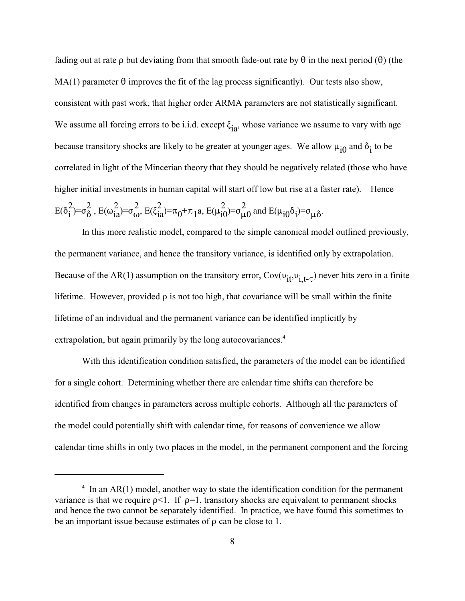fading out at rate  $\rho$  but deviating from that smooth fade-out rate by  $\theta$  in the next period ( $\theta$ ) (the  $MA(1)$  parameter  $\theta$  improves the fit of the lag process significantly). Our tests also show, consistent with past work, that higher order ARMA parameters are not statistically significant. We assume all forcing errors to be i.i.d. except  $\xi_{i}$ , whose variance we assume to vary with age because transitory shocks are likely to be greater at younger ages. We allow  $\mu_{\dot{1}0}$  and  $\delta_{\dot{1}}$  to be correlated in light of the Mincerian theory that they should be negatively related (those who have higher initial investments in human capital will start off low but rise at a faster rate). Hence  $E(8^2) = \frac{2}{2} E(1^2) = \frac{2}{2} E(5^2) = \frac{1}{2} E(1^2) = \frac{2}{2}$  $\mathrm{E}(\delta_i^2) = \sigma_{\delta}^2$ ,  $\mathrm{E}(\omega_{ia}^2) = \sigma_{\omega}^2$ ,  $\mathrm{E}(\xi_{ia}^2) = \pi_0 + \pi_1 a$ ,  $\mathrm{E}(\mu_{i0}^2) = \sigma_{\mu 0}^2$  and  $\mathrm{E}(\mu_{i0} \delta_i) = \sigma_{\mu \delta}$ .

In this more realistic model, compared to the simple canonical model outlined previously, the permanent variance, and hence the transitory variance, is identified only by extrapolation. Because of the AR(1) assumption on the transitory error,  $Cov(v_{it}, v_{i,t-\tau})$  never hits zero in a finite lifetime. However, provided  $\rho$  is not too high, that covariance will be small within the finite lifetime of an individual and the permanent variance can be identified implicitly by extrapolation, but again primarily by the long autocovariances.<sup>4</sup>

With this identification condition satisfied, the parameters of the model can be identified for a single cohort. Determining whether there are calendar time shifts can therefore be identified from changes in parameters across multiple cohorts. Although all the parameters of the model could potentially shift with calendar time, for reasons of convenience we allow calendar time shifts in only two places in the model, in the permanent component and the forcing

 $\frac{1}{1}$  In an AR(1) model, another way to state the identification condition for the permanent variance is that we require  $p<1$ . If  $p=1$ , transitory shocks are equivalent to permanent shocks and hence the two cannot be separately identified. In practice, we have found this sometimes to be an important issue because estimates of  $\rho$  can be close to 1.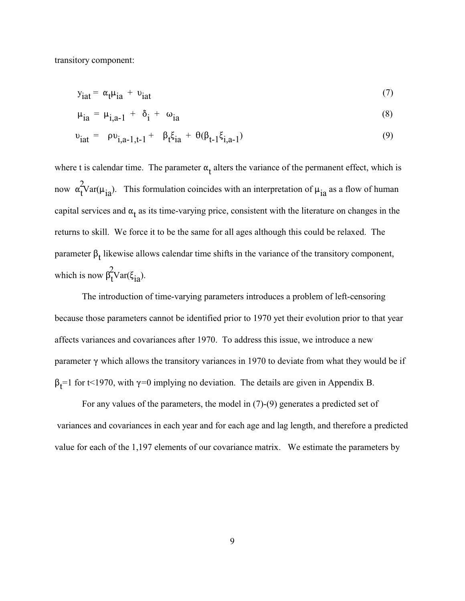transitory component:

$$
y_{\text{iat}} = \alpha_{t} \mu_{\text{ia}} + v_{\text{iat}} \tag{7}
$$

$$
\mu_{ia} = \mu_{i,a-1} + \delta_i + \omega_{ia} \tag{8}
$$

$$
v_{iat} = \rho v_{i,a-1,t-1} + \beta_t \xi_{ia} + \theta(\beta_{t-1} \xi_{i,a-1}) \tag{9}
$$

where t is calendar time. The parameter  $\alpha_t$  alters the variance of the permanent effect, which is now  $\alpha_t^2 \text{Var}(\mu_{ia})$ . This formulation coincides with an interpretation of  $\mu_{ia}$  as a flow of human capital services and  $\alpha_t$  as its time-varying price, consistent with the literature on changes in the returns to skill. We force it to be the same for all ages although this could be relaxed. The parameter  $\beta_t$  likewise allows calendar time shifts in the variance of the transitory component, which is now  $\beta_t^2 \text{Var}(\xi_{ia}).$ 

The introduction of time-varying parameters introduces a problem of left-censoring because those parameters cannot be identified prior to 1970 yet their evolution prior to that year affects variances and covariances after 1970. To address this issue, we introduce a new parameter  $\gamma$  which allows the transitory variances in 1970 to deviate from what they would be if  $\beta$ <sub>t</sub>=1 for t<1970, with  $\gamma$ =0 implying no deviation. The details are given in Appendix B.

For any values of the parameters, the model in (7)-(9) generates a predicted set of variances and covariances in each year and for each age and lag length, and therefore a predicted value for each of the 1,197 elements of our covariance matrix. We estimate the parameters by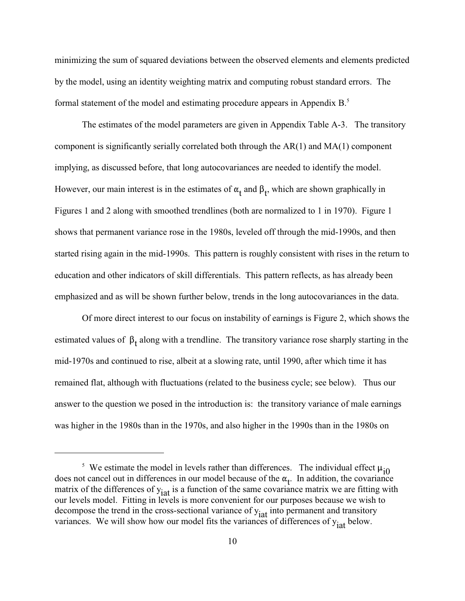minimizing the sum of squared deviations between the observed elements and elements predicted by the model, using an identity weighting matrix and computing robust standard errors. The formal statement of the model and estimating procedure appears in Appendix B.<sup>5</sup>

The estimates of the model parameters are given in Appendix Table A-3. The transitory component is significantly serially correlated both through the AR(1) and MA(1) component implying, as discussed before, that long autocovariances are needed to identify the model. However, our main interest is in the estimates of  $\alpha_t$  and  $\beta_t$ , which are shown graphically in Figures 1 and 2 along with smoothed trendlines (both are normalized to 1 in 1970). Figure 1 shows that permanent variance rose in the 1980s, leveled off through the mid-1990s, and then started rising again in the mid-1990s. This pattern is roughly consistent with rises in the return to education and other indicators of skill differentials. This pattern reflects, as has already been emphasized and as will be shown further below, trends in the long autocovariances in the data.

Of more direct interest to our focus on instability of earnings is Figure 2, which shows the estimated values of  $\beta_t$  along with a trendline. The transitory variance rose sharply starting in the mid-1970s and continued to rise, albeit at a slowing rate, until 1990, after which time it has remained flat, although with fluctuations (related to the business cycle; see below). Thus our answer to the question we posed in the introduction is: the transitory variance of male earnings was higher in the 1980s than in the 1970s, and also higher in the 1990s than in the 1980s on

<sup>&</sup>lt;sup>5</sup> We estimate the model in levels rather than differences. The individual effect  $\mu_{i0}$ does not cancel out in differences in our model because of the  $\alpha_t$ . In addition, the covariance matrix of the differences of  $y_{\text{iat}}$  is a function of the same covariance matrix we are fitting with our levels model. Fitting in levels is more convenient for our purposes because we wish to decompose the trend in the cross-sectional variance of  $y_{iat}$  into permanent and transitory variances. We will show how our model fits the variances of differences of  $y_{\text{iat}}$  below.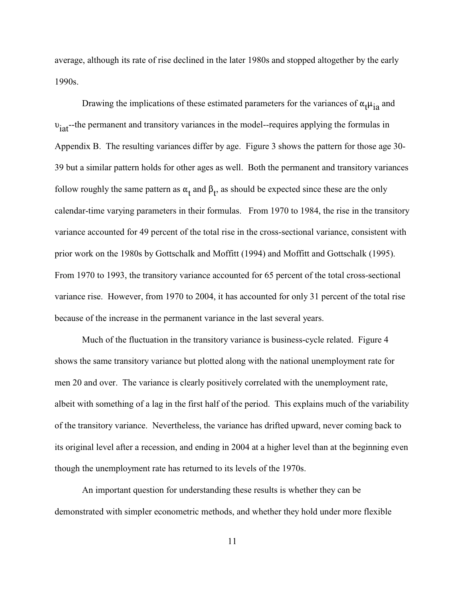average, although its rate of rise declined in the later 1980s and stopped altogether by the early 1990s.

Drawing the implications of these estimated parameters for the variances of  $\alpha_1 \mu_{12}$  and  $v_{\text{iat}}$ -the permanent and transitory variances in the model--requires applying the formulas in Appendix B. The resulting variances differ by age. Figure 3 shows the pattern for those age 30- 39 but a similar pattern holds for other ages as well. Both the permanent and transitory variances follow roughly the same pattern as  $\alpha_t$  and  $\beta_t$ , as should be expected since these are the only calendar-time varying parameters in their formulas. From 1970 to 1984, the rise in the transitory variance accounted for 49 percent of the total rise in the cross-sectional variance, consistent with prior work on the 1980s by Gottschalk and Moffitt (1994) and Moffitt and Gottschalk (1995). From 1970 to 1993, the transitory variance accounted for 65 percent of the total cross-sectional variance rise. However, from 1970 to 2004, it has accounted for only 31 percent of the total rise because of the increase in the permanent variance in the last several years.

Much of the fluctuation in the transitory variance is business-cycle related. Figure 4 shows the same transitory variance but plotted along with the national unemployment rate for men 20 and over. The variance is clearly positively correlated with the unemployment rate, albeit with something of a lag in the first half of the period. This explains much of the variability of the transitory variance. Nevertheless, the variance has drifted upward, never coming back to its original level after a recession, and ending in 2004 at a higher level than at the beginning even though the unemployment rate has returned to its levels of the 1970s.

An important question for understanding these results is whether they can be demonstrated with simpler econometric methods, and whether they hold under more flexible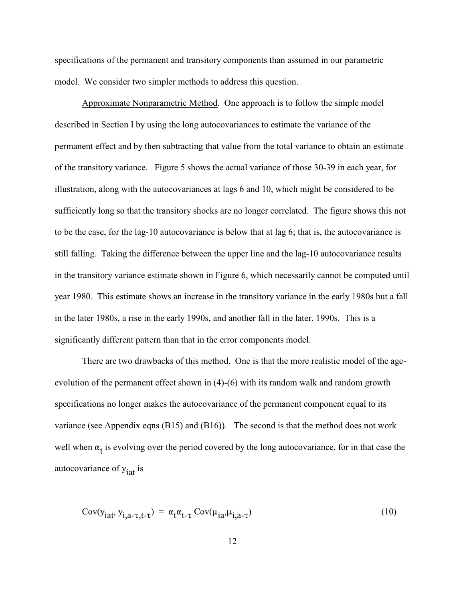specifications of the permanent and transitory components than assumed in our parametric model. We consider two simpler methods to address this question.

Approximate Nonparametric Method. One approach is to follow the simple model described in Section I by using the long autocovariances to estimate the variance of the permanent effect and by then subtracting that value from the total variance to obtain an estimate of the transitory variance. Figure 5 shows the actual variance of those 30-39 in each year, for illustration, along with the autocovariances at lags 6 and 10, which might be considered to be sufficiently long so that the transitory shocks are no longer correlated. The figure shows this not to be the case, for the lag-10 autocovariance is below that at lag 6; that is, the autocovariance is still falling. Taking the difference between the upper line and the lag-10 autocovariance results in the transitory variance estimate shown in Figure 6, which necessarily cannot be computed until year 1980. This estimate shows an increase in the transitory variance in the early 1980s but a fall in the later 1980s, a rise in the early 1990s, and another fall in the later. 1990s. This is a significantly different pattern than that in the error components model.

There are two drawbacks of this method. One is that the more realistic model of the ageevolution of the permanent effect shown in (4)-(6) with its random walk and random growth specifications no longer makes the autocovariance of the permanent component equal to its variance (see Appendix eqns (B15) and (B16)). The second is that the method does not work well when  $\alpha_t$  is evolving over the period covered by the long autocovariance, for in that case the autocovariance of y<sub>iat</sub> is

$$
Cov(yiat, yi,a-τ,t-τ) = \alpha_t \alpha_{t-τ} Cov(\muia, \mui,a-τ)
$$
\n(10)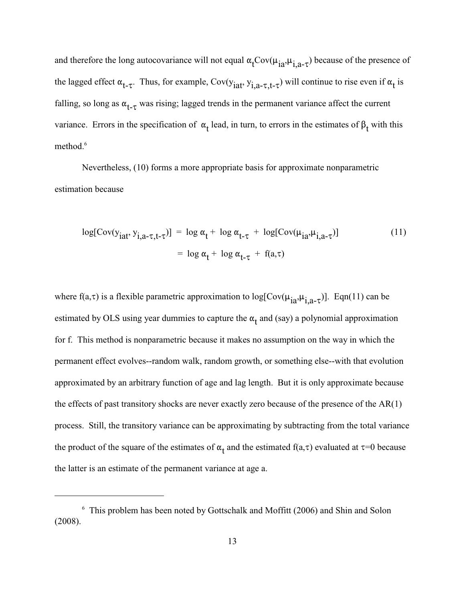and therefore the long autocovariance will not equal  $\alpha_t \text{Cov}(\mu_{ia}, \mu_{i,a-\tau})$  because of the presence of the lagged effect  $\alpha_{t-\tau}$ . Thus, for example, Cov( $y_{iat}$ ,  $y_{i,a-\tau,t-\tau}$ ) will continue to rise even if  $\alpha_t$  is falling, so long as  $\alpha_{t-\tau}$  was rising; lagged trends in the permanent variance affect the current variance. Errors in the specification of  $\alpha_t$  lead, in turn, to errors in the estimates of  $\beta_t$  with this method.<sup>6</sup>

Nevertheless, (10) forms a more appropriate basis for approximate nonparametric estimation because

$$
\log[\text{Cov}(y_{iat}, y_{i,a-\tau,t-\tau})] = \log \alpha_t + \log \alpha_{t-\tau} + \log[\text{Cov}(\mu_{ia}, \mu_{i,a-\tau})]
$$
(11)  
=  $\log \alpha_t + \log \alpha_{t-\tau} + f(a,\tau)$ 

where f(a, $\tau$ ) is a flexible parametric approximation to log[ $Cov(\mu_{ia}, \mu_{i,a-\tau})$ ]. Eqn(11) can be estimated by OLS using year dummies to capture the  $\alpha_t$  and (say) a polynomial approximation for f. This method is nonparametric because it makes no assumption on the way in which the permanent effect evolves--random walk, random growth, or something else--with that evolution approximated by an arbitrary function of age and lag length. But it is only approximate because the effects of past transitory shocks are never exactly zero because of the presence of the  $AR(1)$ process. Still, the transitory variance can be approximating by subtracting from the total variance the product of the square of the estimates of  $\alpha_t$  and the estimated  $f(a,\tau)$  evaluated at  $\tau=0$  because the latter is an estimate of the permanent variance at age a.

 $6$  This problem has been noted by Gottschalk and Moffitt (2006) and Shin and Solon (2008).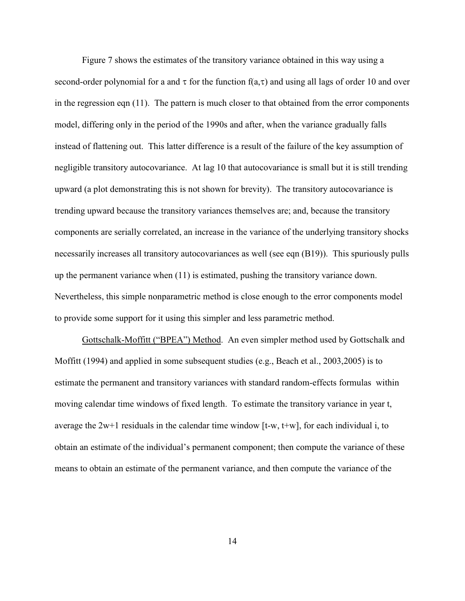Figure 7 shows the estimates of the transitory variance obtained in this way using a second-order polynomial for a and  $\tau$  for the function  $f(a,\tau)$  and using all lags of order 10 and over in the regression eqn (11). The pattern is much closer to that obtained from the error components model, differing only in the period of the 1990s and after, when the variance gradually falls instead of flattening out. This latter difference is a result of the failure of the key assumption of negligible transitory autocovariance. At lag 10 that autocovariance is small but it is still trending upward (a plot demonstrating this is not shown for brevity). The transitory autocovariance is trending upward because the transitory variances themselves are; and, because the transitory components are serially correlated, an increase in the variance of the underlying transitory shocks necessarily increases all transitory autocovariances as well (see eqn (B19)). This spuriously pulls up the permanent variance when (11) is estimated, pushing the transitory variance down. Nevertheless, this simple nonparametric method is close enough to the error components model to provide some support for it using this simpler and less parametric method.

Gottschalk-Moffitt ("BPEA") Method. An even simpler method used by Gottschalk and Moffitt (1994) and applied in some subsequent studies (e.g., Beach et al., 2003,2005) is to estimate the permanent and transitory variances with standard random-effects formulas within moving calendar time windows of fixed length. To estimate the transitory variance in year t, average the 2w+1 residuals in the calendar time window [t-w, t+w], for each individual i, to obtain an estimate of the individual's permanent component; then compute the variance of these means to obtain an estimate of the permanent variance, and then compute the variance of the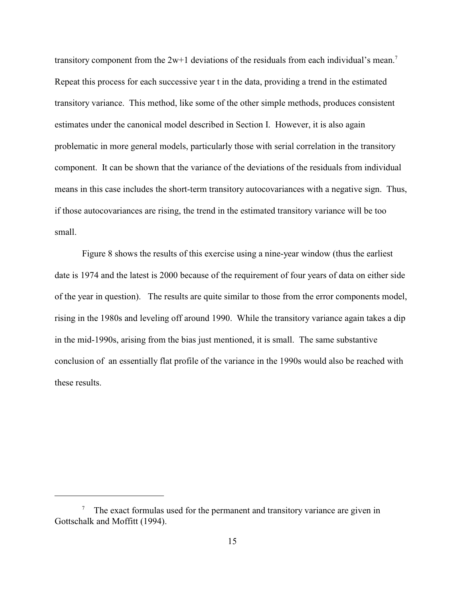transitory component from the  $2w+1$  deviations of the residuals from each individual's mean.<sup>7</sup> Repeat this process for each successive year t in the data, providing a trend in the estimated transitory variance. This method, like some of the other simple methods, produces consistent estimates under the canonical model described in Section I. However, it is also again problematic in more general models, particularly those with serial correlation in the transitory component. It can be shown that the variance of the deviations of the residuals from individual means in this case includes the short-term transitory autocovariances with a negative sign. Thus, if those autocovariances are rising, the trend in the estimated transitory variance will be too small.

Figure 8 shows the results of this exercise using a nine-year window (thus the earliest date is 1974 and the latest is 2000 because of the requirement of four years of data on either side of the year in question). The results are quite similar to those from the error components model, rising in the 1980s and leveling off around 1990. While the transitory variance again takes a dip in the mid-1990s, arising from the bias just mentioned, it is small. The same substantive conclusion of an essentially flat profile of the variance in the 1990s would also be reached with these results.

 $^7$  The exact formulas used for the permanent and transitory variance are given in Gottschalk and Moffitt (1994).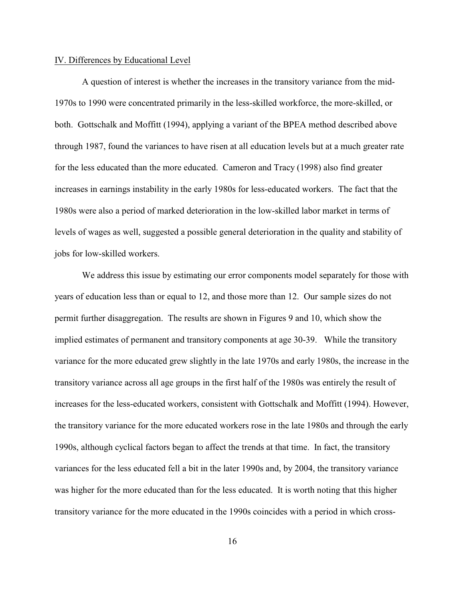#### IV. Differences by Educational Level

A question of interest is whether the increases in the transitory variance from the mid-1970s to 1990 were concentrated primarily in the less-skilled workforce, the more-skilled, or both. Gottschalk and Moffitt (1994), applying a variant of the BPEA method described above through 1987, found the variances to have risen at all education levels but at a much greater rate for the less educated than the more educated. Cameron and Tracy (1998) also find greater increases in earnings instability in the early 1980s for less-educated workers. The fact that the 1980s were also a period of marked deterioration in the low-skilled labor market in terms of levels of wages as well, suggested a possible general deterioration in the quality and stability of jobs for low-skilled workers.

We address this issue by estimating our error components model separately for those with years of education less than or equal to 12, and those more than 12. Our sample sizes do not permit further disaggregation. The results are shown in Figures 9 and 10, which show the implied estimates of permanent and transitory components at age 30-39. While the transitory variance for the more educated grew slightly in the late 1970s and early 1980s, the increase in the transitory variance across all age groups in the first half of the 1980s was entirely the result of increases for the less-educated workers, consistent with Gottschalk and Moffitt (1994). However, the transitory variance for the more educated workers rose in the late 1980s and through the early 1990s, although cyclical factors began to affect the trends at that time. In fact, the transitory variances for the less educated fell a bit in the later 1990s and, by 2004, the transitory variance was higher for the more educated than for the less educated. It is worth noting that this higher transitory variance for the more educated in the 1990s coincides with a period in which cross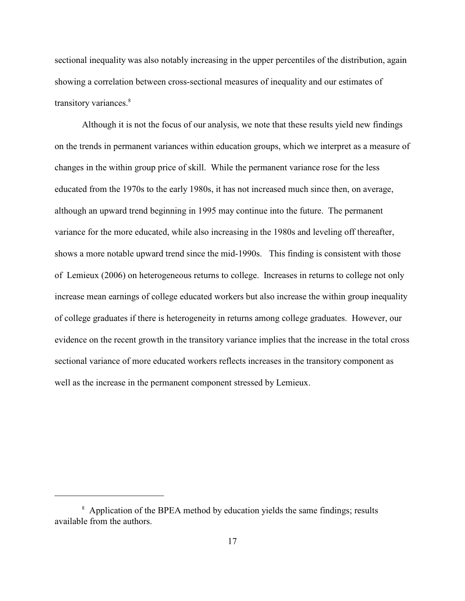sectional inequality was also notably increasing in the upper percentiles of the distribution, again showing a correlation between cross-sectional measures of inequality and our estimates of transitory variances.<sup>8</sup>

Although it is not the focus of our analysis, we note that these results yield new findings on the trends in permanent variances within education groups, which we interpret as a measure of changes in the within group price of skill. While the permanent variance rose for the less educated from the 1970s to the early 1980s, it has not increased much since then, on average, although an upward trend beginning in 1995 may continue into the future. The permanent variance for the more educated, while also increasing in the 1980s and leveling off thereafter, shows a more notable upward trend since the mid-1990s. This finding is consistent with those of Lemieux (2006) on heterogeneous returns to college. Increases in returns to college not only increase mean earnings of college educated workers but also increase the within group inequality of college graduates if there is heterogeneity in returns among college graduates. However, our evidence on the recent growth in the transitory variance implies that the increase in the total cross sectional variance of more educated workers reflects increases in the transitory component as well as the increase in the permanent component stressed by Lemieux.

<sup>&</sup>lt;sup>8</sup> Application of the BPEA method by education yields the same findings; results available from the authors.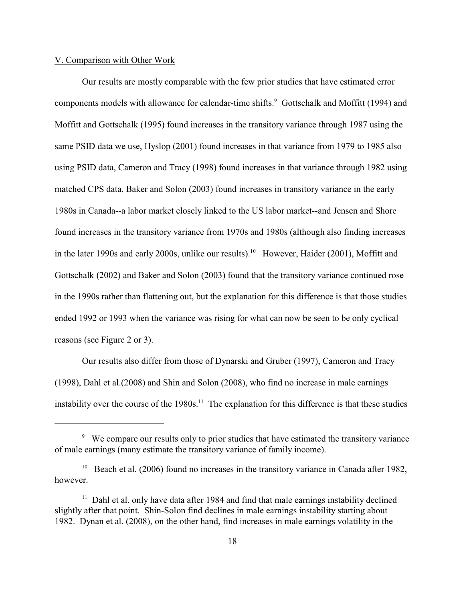#### V. Comparison with Other Work

Our results are mostly comparable with the few prior studies that have estimated error components models with allowance for calendar-time shifts.<sup>9</sup> Gottschalk and Moffitt (1994) and Moffitt and Gottschalk (1995) found increases in the transitory variance through 1987 using the same PSID data we use, Hyslop (2001) found increases in that variance from 1979 to 1985 also using PSID data, Cameron and Tracy (1998) found increases in that variance through 1982 using matched CPS data, Baker and Solon (2003) found increases in transitory variance in the early 1980s in Canada--a labor market closely linked to the US labor market--and Jensen and Shore found increases in the transitory variance from 1970s and 1980s (although also finding increases in the later 1990s and early 2000s, unlike our results).<sup>10</sup> However, Haider (2001), Moffitt and Gottschalk (2002) and Baker and Solon (2003) found that the transitory variance continued rose in the 1990s rather than flattening out, but the explanation for this difference is that those studies ended 1992 or 1993 when the variance was rising for what can now be seen to be only cyclical reasons (see Figure 2 or 3).

Our results also differ from those of Dynarski and Gruber (1997), Cameron and Tracy (1998), Dahl et al.(2008) and Shin and Solon (2008), who find no increase in male earnings instability over the course of the  $1980s$ .<sup>11</sup> The explanation for this difference is that these studies

<sup>&</sup>lt;sup>9</sup> We compare our results only to prior studies that have estimated the transitory variance of male earnings (many estimate the transitory variance of family income).

<sup>&</sup>lt;sup>10</sup> Beach et al. (2006) found no increases in the transitory variance in Canada after 1982, however.

 $11$  Dahl et al. only have data after 1984 and find that male earnings instability declined slightly after that point. Shin-Solon find declines in male earnings instability starting about 1982. Dynan et al. (2008), on the other hand, find increases in male earnings volatility in the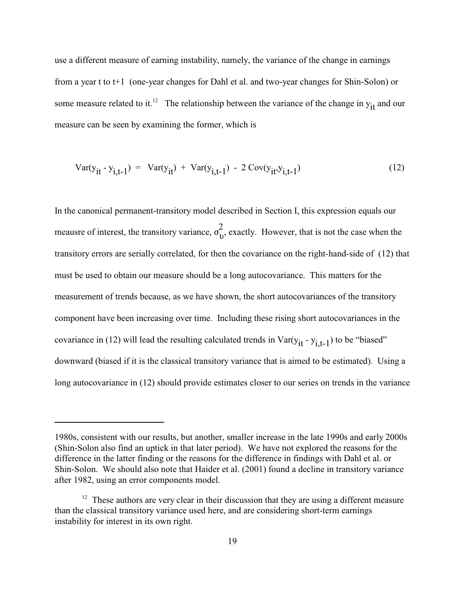use a different measure of earning instability, namely, the variance of the change in earnings from a year t to t+1 (one-year changes for Dahl et al. and two-year changes for Shin-Solon) or some measure related to it.<sup>12</sup> The relationship between the variance of the change in  $y_{it}$  and our measure can be seen by examining the former, which is

$$
Var(y_{it} - y_{i,t-1}) = Var(y_{it}) + Var(y_{i,t-1}) - 2 Cov(y_{it}, y_{i,t-1})
$$
\n(12)

In the canonical permanent-transitory model described in Section I, this expression equals our measure of interest the transitory variance  $\sigma^2$ meausre of interest, the transitory variance,  $\sigma_{v}^{2}$ , exactly. However, that is not the case when the transitory errors are serially correlated, for then the covariance on the right-hand-side of (12) that must be used to obtain our measure should be a long autocovariance. This matters for the measurement of trends because, as we have shown, the short autocovariances of the transitory component have been increasing over time. Including these rising short autocovariances in the covariance in (12) will lead the resulting calculated trends in Var( $y_{it} - y_{i,t-1}$ ) to be "biased" downward (biased if it is the classical transitory variance that is aimed to be estimated). Using a long autocovariance in (12) should provide estimates closer to our series on trends in the variance

<sup>1980</sup>s, consistent with our results, but another, smaller increase in the late 1990s and early 2000s (Shin-Solon also find an uptick in that later period). We have not explored the reasons for the difference in the latter finding or the reasons for the difference in findings with Dahl et al. or Shin-Solon. We should also note that Haider et al. (2001) found a decline in transitory variance after 1982, using an error components model.

 $12$  These authors are very clear in their discussion that they are using a different measure than the classical transitory variance used here, and are considering short-term earnings instability for interest in its own right.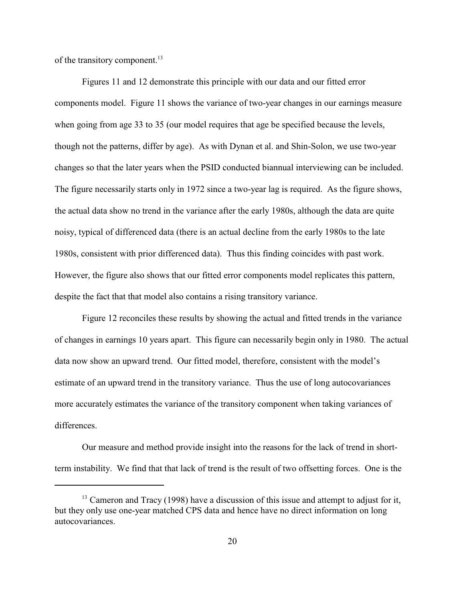of the transitory component.<sup>13</sup>

Figures 11 and 12 demonstrate this principle with our data and our fitted error components model. Figure 11 shows the variance of two-year changes in our earnings measure when going from age 33 to 35 (our model requires that age be specified because the levels, though not the patterns, differ by age). As with Dynan et al. and Shin-Solon, we use two-year changes so that the later years when the PSID conducted biannual interviewing can be included. The figure necessarily starts only in 1972 since a two-year lag is required. As the figure shows, the actual data show no trend in the variance after the early 1980s, although the data are quite noisy, typical of differenced data (there is an actual decline from the early 1980s to the late 1980s, consistent with prior differenced data). Thus this finding coincides with past work. However, the figure also shows that our fitted error components model replicates this pattern, despite the fact that that model also contains a rising transitory variance.

Figure 12 reconciles these results by showing the actual and fitted trends in the variance of changes in earnings 10 years apart. This figure can necessarily begin only in 1980. The actual data now show an upward trend. Our fitted model, therefore, consistent with the model's estimate of an upward trend in the transitory variance. Thus the use of long autocovariances more accurately estimates the variance of the transitory component when taking variances of differences.

Our measure and method provide insight into the reasons for the lack of trend in shortterm instability. We find that that lack of trend is the result of two offsetting forces. One is the

 $^{13}$  Cameron and Tracy (1998) have a discussion of this issue and attempt to adjust for it, but they only use one-year matched CPS data and hence have no direct information on long autocovariances.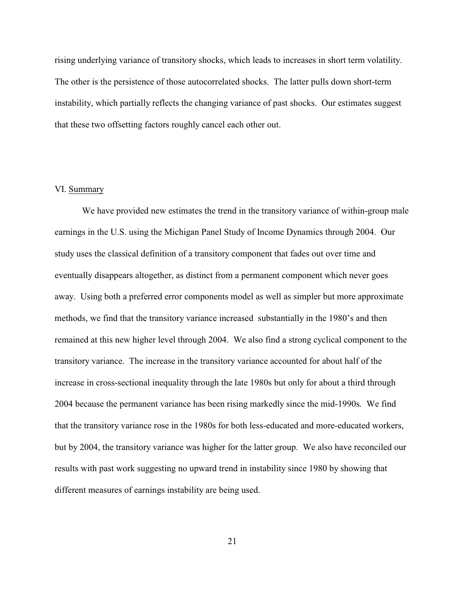rising underlying variance of transitory shocks, which leads to increases in short term volatility. The other is the persistence of those autocorrelated shocks. The latter pulls down short-term instability, which partially reflects the changing variance of past shocks. Our estimates suggest that these two offsetting factors roughly cancel each other out.

### VI. Summary

We have provided new estimates the trend in the transitory variance of within-group male earnings in the U.S. using the Michigan Panel Study of Income Dynamics through 2004. Our study uses the classical definition of a transitory component that fades out over time and eventually disappears altogether, as distinct from a permanent component which never goes away. Using both a preferred error components model as well as simpler but more approximate methods, we find that the transitory variance increased substantially in the 1980's and then remained at this new higher level through 2004. We also find a strong cyclical component to the transitory variance. The increase in the transitory variance accounted for about half of the increase in cross-sectional inequality through the late 1980s but only for about a third through 2004 because the permanent variance has been rising markedly since the mid-1990s. We find that the transitory variance rose in the 1980s for both less-educated and more-educated workers, but by 2004, the transitory variance was higher for the latter group. We also have reconciled our results with past work suggesting no upward trend in instability since 1980 by showing that different measures of earnings instability are being used.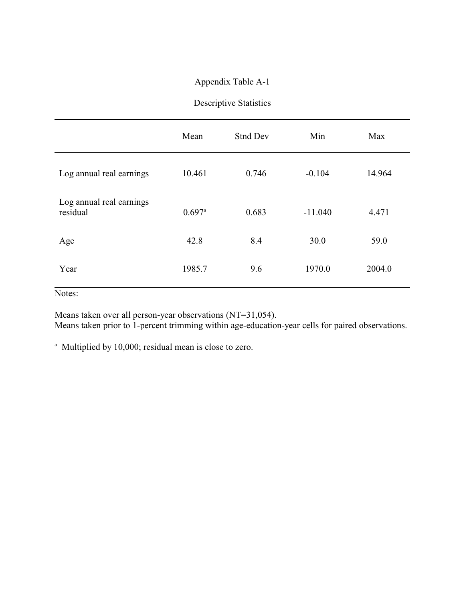## Appendix Table A-1

## Descriptive Statistics

|                                      | Mean                 | Stnd Dev | Min       | Max    |
|--------------------------------------|----------------------|----------|-----------|--------|
| Log annual real earnings             | 10.461               | 0.746    | $-0.104$  | 14.964 |
| Log annual real earnings<br>residual | $0.697$ <sup>a</sup> | 0.683    | $-11.040$ | 4.471  |
| Age                                  | 42.8                 | 8.4      | 30.0      | 59.0   |
| Year                                 | 1985.7               | 9.6      | 1970.0    | 2004.0 |

Notes:

Means taken over all person-year observations (NT=31,054). Means taken prior to 1-percent trimming within age-education-year cells for paired observations.

<sup>a</sup> Multiplied by 10,000; residual mean is close to zero.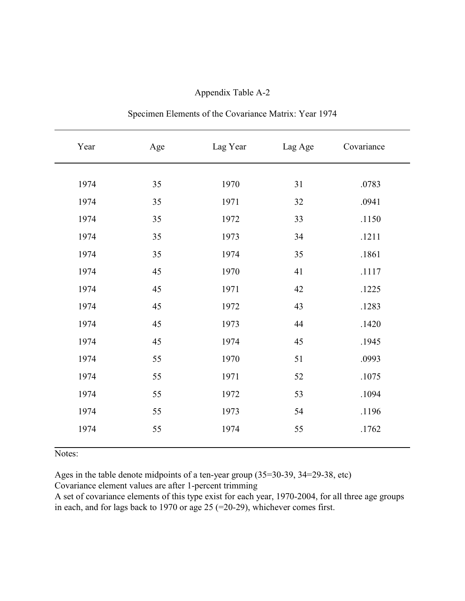| Appendix Table A-2 |  |
|--------------------|--|
|--------------------|--|

| Year | Age | Lag Year | Lag Age | Covariance |
|------|-----|----------|---------|------------|
| 1974 | 35  | 1970     | 31      | .0783      |
| 1974 | 35  | 1971     | 32      | .0941      |
| 1974 | 35  | 1972     | 33      | .1150      |
| 1974 | 35  | 1973     | 34      | .1211      |
| 1974 | 35  | 1974     | 35      | .1861      |
| 1974 | 45  | 1970     | 41      | .1117      |
| 1974 | 45  | 1971     | 42      | .1225      |
| 1974 | 45  | 1972     | 43      | .1283      |
| 1974 | 45  | 1973     | 44      | .1420      |
| 1974 | 45  | 1974     | 45      | .1945      |
| 1974 | 55  | 1970     | 51      | .0993      |
| 1974 | 55  | 1971     | 52      | .1075      |
| 1974 | 55  | 1972     | 53      | .1094      |
| 1974 | 55  | 1973     | 54      | .1196      |
| 1974 | 55  | 1974     | 55      | .1762      |

|  | Specimen Elements of the Covariance Matrix: Year 1974 |  |  |  |  |
|--|-------------------------------------------------------|--|--|--|--|
|--|-------------------------------------------------------|--|--|--|--|

Notes:

Ages in the table denote midpoints of a ten-year group (35=30-39, 34=29-38, etc)

Covariance element values are after 1-percent trimming

A set of covariance elements of this type exist for each year, 1970-2004, for all three age groups in each, and for lags back to 1970 or age 25 (=20-29), whichever comes first.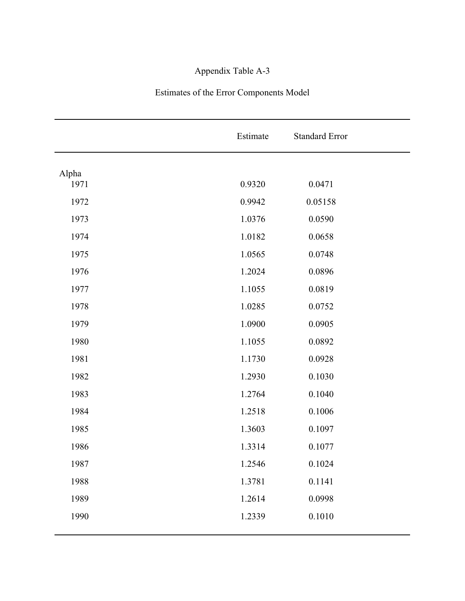# Appendix Table A-3

# Estimates of the Error Components Model

|       | Estimate | <b>Standard Error</b> |
|-------|----------|-----------------------|
| Alpha |          |                       |
| 1971  | 0.9320   | 0.0471                |
| 1972  | 0.9942   | 0.05158               |
| 1973  | 1.0376   | 0.0590                |
| 1974  | 1.0182   | 0.0658                |
| 1975  | 1.0565   | 0.0748                |
| 1976  | 1.2024   | 0.0896                |
| 1977  | 1.1055   | 0.0819                |
| 1978  | 1.0285   | 0.0752                |
| 1979  | 1.0900   | 0.0905                |
| 1980  | 1.1055   | 0.0892                |
| 1981  | 1.1730   | 0.0928                |
| 1982  | 1.2930   | 0.1030                |
| 1983  | 1.2764   | 0.1040                |
| 1984  | 1.2518   | 0.1006                |
| 1985  | 1.3603   | 0.1097                |
| 1986  | 1.3314   | 0.1077                |
| 1987  | 1.2546   | 0.1024                |
| 1988  | 1.3781   | 0.1141                |
| 1989  | 1.2614   | 0.0998                |
| 1990  | 1.2339   | 0.1010                |
|       |          |                       |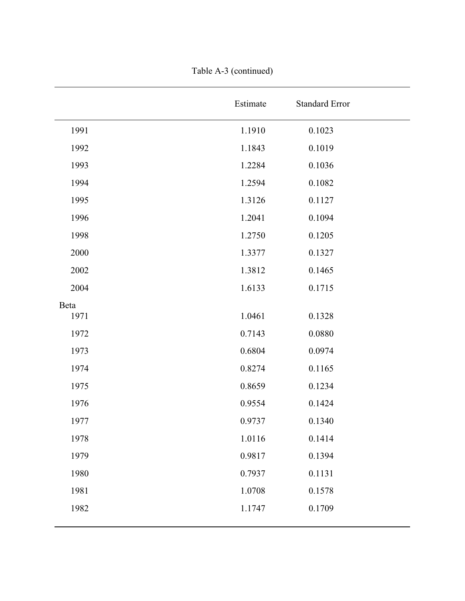|      | Estimate | <b>Standard Error</b> |  |
|------|----------|-----------------------|--|
| 1991 | 1.1910   | 0.1023                |  |
| 1992 | 1.1843   | 0.1019                |  |
| 1993 | 1.2284   | 0.1036                |  |
| 1994 | 1.2594   | 0.1082                |  |
| 1995 | 1.3126   | 0.1127                |  |
| 1996 | 1.2041   | 0.1094                |  |
| 1998 | 1.2750   | 0.1205                |  |
| 2000 | 1.3377   | 0.1327                |  |
| 2002 | 1.3812   | 0.1465                |  |
| 2004 | 1.6133   | 0.1715                |  |
| Beta |          |                       |  |
| 1971 | 1.0461   | 0.1328                |  |
| 1972 | 0.7143   | 0.0880                |  |
| 1973 | 0.6804   | 0.0974                |  |
| 1974 | 0.8274   | 0.1165                |  |
| 1975 | 0.8659   | 0.1234                |  |
| 1976 | 0.9554   | 0.1424                |  |
| 1977 | 0.9737   | 0.1340                |  |
| 1978 | 1.0116   | 0.1414                |  |
| 1979 | 0.9817   | 0.1394                |  |
| 1980 | 0.7937   | 0.1131                |  |
| 1981 | 1.0708   | 0.1578                |  |
| 1982 | 1.1747   | 0.1709                |  |
|      |          |                       |  |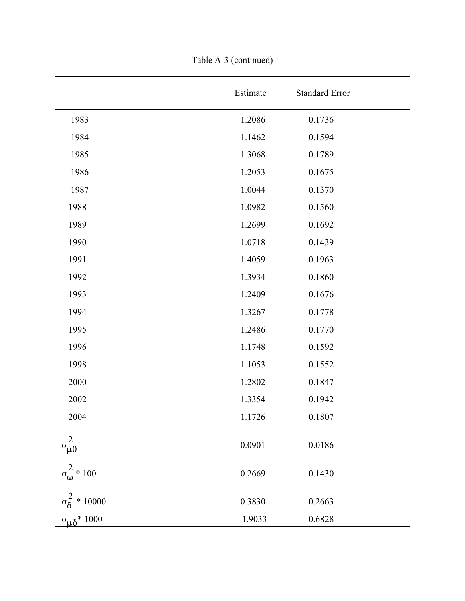|                               | Estimate  | <b>Standard Error</b> |
|-------------------------------|-----------|-----------------------|
| 1983                          | 1.2086    | 0.1736                |
| 1984                          | 1.1462    | 0.1594                |
| 1985                          | 1.3068    | 0.1789                |
| 1986                          | 1.2053    | 0.1675                |
| 1987                          | 1.0044    | 0.1370                |
| 1988                          | 1.0982    | 0.1560                |
| 1989                          | 1.2699    | 0.1692                |
| 1990                          | 1.0718    | 0.1439                |
| 1991                          | 1.4059    | 0.1963                |
| 1992                          | 1.3934    | 0.1860                |
| 1993                          | 1.2409    | 0.1676                |
| 1994                          | 1.3267    | 0.1778                |
| 1995                          | 1.2486    | 0.1770                |
| 1996                          | 1.1748    | 0.1592                |
| 1998                          | 1.1053    | 0.1552                |
| 2000                          | 1.2802    | 0.1847                |
| 2002                          | 1.3354    | 0.1942                |
| 2004                          | 1.1726    | 0.1807                |
| $\sigma_{\mu 0}^2$            | 0.0901    | 0.0186                |
| $\sigma_{\omega}^2 * 100$     | 0.2669    | 0.1430                |
| $\sigma_{\delta}^{2} * 10000$ | 0.3830    | 0.2663                |
| $\sigma_{\mu\delta}$ * 1000   | $-1.9033$ | 0.6828                |

Table A-3 (continued)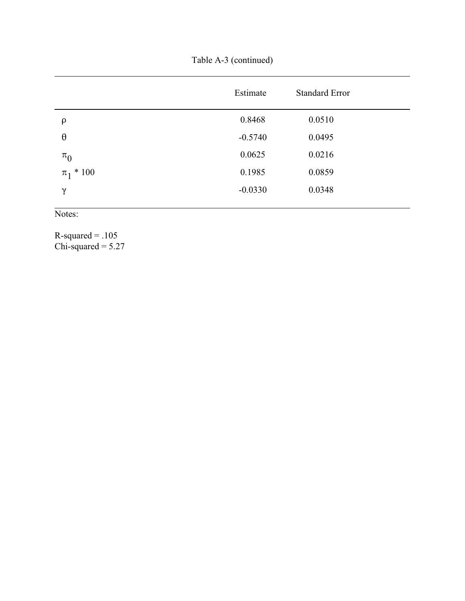Table A-3 (continued)

|                   | Estimate  | <b>Standard Error</b> |
|-------------------|-----------|-----------------------|
| $\rho$            | 0.8468    | 0.0510                |
| $\theta$          | $-0.5740$ | 0.0495                |
| $\pi_0$           | 0.0625    | 0.0216                |
| $*100$<br>$\pi_1$ | 0.1985    | 0.0859                |
| $\gamma$          | $-0.0330$ | 0.0348                |
|                   |           |                       |

Notes:

 $R$ -squared = .105  $Chi$ -squared = 5.27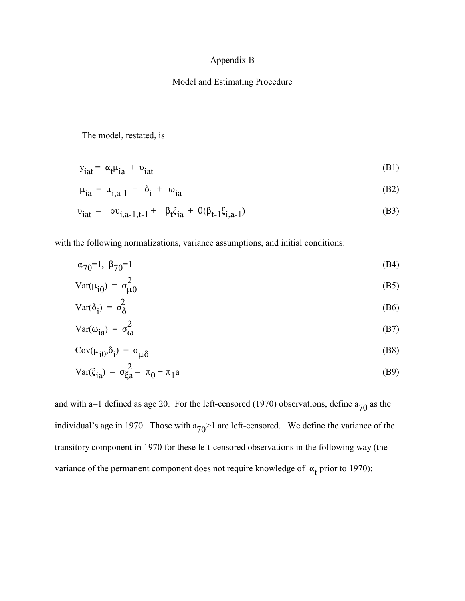## Appendix B

## Model and Estimating Procedure

The model, restated, is

$$
y_{\text{iat}} = \alpha_{\text{t}} \mu_{\text{ia}} + v_{\text{iat}} \tag{B1}
$$

$$
\mu_{ia} = \mu_{i,a-1} + \delta_i + \omega_{ia} \tag{B2}
$$

$$
v_{\text{iat}} = \rho v_{\text{i},a-1,t-1} + \beta_t \xi_{\text{ia}} + \theta(\beta_{t-1} \xi_{\text{i},a-1}) \tag{B3}
$$

with the following normalizations, variance assumptions, and initial conditions:

$$
\alpha_{70} = 1, \ \beta_{70} = 1 \tag{B4}
$$

$$
Var(\mu_{i0}) = \sigma_{\mu 0}^{2}
$$
 (B5)

$$
Var(\delta_{i}) = \sigma_{\delta}^{2}
$$
 (B6)

$$
Var(\omega_{\hat{1}a}) = \sigma_{\omega}^2
$$
 (B7)

$$
Cov(\mu_{i0}, \delta_i) = \sigma_{\mu\delta} \tag{B8}
$$

Var(
$$
\xi_{ia}
$$
) =  $\sigma_{\xi a}^2 = \pi_0 + \pi_1 a$  (B9)

and with a=1 defined as age 20. For the left-censored (1970) observations, define  $a_{70}$  as the individual's age in 1970. Those with  $a_{70}$  are left-censored. We define the variance of the transitory component in 1970 for these left-censored observations in the following way (the variance of the permanent component does not require knowledge of  $\alpha_t$  prior to 1970):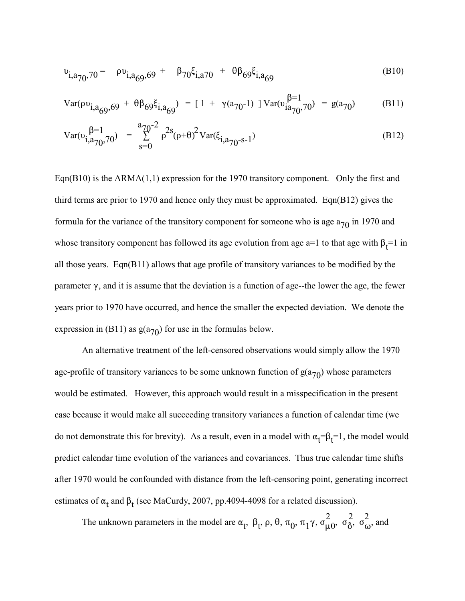$$
v_{i,a_{70},70} = \rho v_{i,a_{69},69} + \beta_{70} \xi_{i,a_{70}} + \theta \beta_{69} \xi_{i,a_{69}}
$$
(B10)

$$
Var(\rho v_{i,a_{69},69} + \theta \beta_{69} \xi_{i,a_{69}}) = [1 + \gamma(a_{70}-1) ] Var(v_{ia_{70},70}^{\beta=1}) = g(a_{70})
$$
 (B11)

$$
Var(\upsilon_{i,a_{70}}^{\beta=1},\eta_{0}) = \sum_{s=0}^{a_{70}-2} \rho^{2s}(\rho+\theta)^{2} Var(\xi_{i,a_{70}-s-1})
$$
(B12)

Eqn(B10) is the ARMA $(1,1)$  expression for the 1970 transitory component. Only the first and third terms are prior to 1970 and hence only they must be approximated. Eqn(B12) gives the formula for the variance of the transitory component for someone who is age  $a_{70}$  in 1970 and whose transitory component has followed its age evolution from age a=1 to that age with  $\beta_t$ =1 in all those years. Eqn(B11) allows that age profile of transitory variances to be modified by the parameter  $\gamma$ , and it is assume that the deviation is a function of age--the lower the age, the fewer years prior to 1970 have occurred, and hence the smaller the expected deviation. We denote the expression in (B11) as  $g(a_{70})$  for use in the formulas below.

An alternative treatment of the left-censored observations would simply allow the 1970 age-profile of transitory variances to be some unknown function of  $g(a_{70})$  whose parameters would be estimated. However, this approach would result in a misspecification in the present case because it would make all succeeding transitory variances a function of calendar time (we do not demonstrate this for brevity). As a result, even in a model with  $\alpha_t = \beta_t = 1$ , the model would predict calendar time evolution of the variances and covariances. Thus true calendar time shifts after 1970 would be confounded with distance from the left-censoring point, generating incorrect estimates of  $\alpha_t$  and  $\beta_t$  (see MaCurdy, 2007, pp.4094-4098 for a related discussion).

The order connection in the model can  $\alpha$ ,  $\beta$  =  $\alpha$  =  $\alpha$  =  $\alpha$  =  $\alpha$  =  $\alpha$  =  $\alpha$  =  $\alpha$  =  $\alpha$  =  $\alpha$  =  $\alpha$  =  $\alpha$  =  $\alpha$  =  $\alpha$  =  $\alpha$  =  $\alpha$  =  $\alpha$  =  $\alpha$  =  $\alpha$  =  $\alpha$  =  $\alpha$  =  $\alpha$  =  $\alpha$  =  $\alpha$  =  $\alpha$  =  $\$ The unknown parameters in the model are  $\alpha_t$ ,  $\beta_t$ ,  $\rho$ ,  $\theta$ ,  $\pi_0$ ,  $\pi_1\gamma$ ,  $\sigma_{\mu}^2$ ,  $\sigma_{\delta}^2$ ,  $\sigma_{\omega}^2$ , and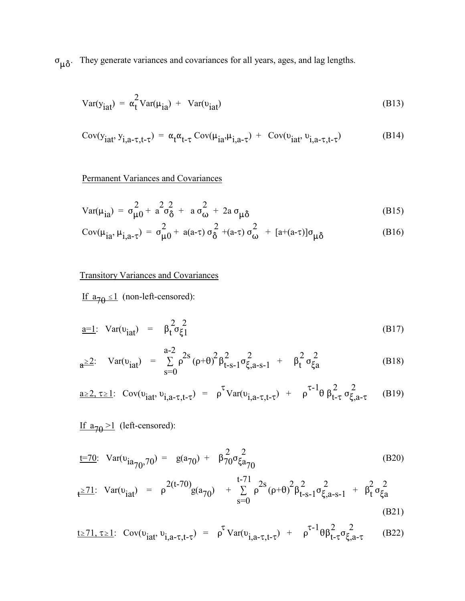$\sigma_{\mu\delta}$ . They generate variances and covariances for all years, ages, and lag lengths.

$$
Var(yiat) = \alpha_t^2 Var(\mu_{ia}) + Var(viat)
$$
 (B13)

$$
Cov(yiat, yi,a-\tau,t-\tau) = \alpha_t \alpha_{t-\tau} Cov(\muia, \mui,a-\tau) + Cov(\nuiat, \nui,a-\tau,t-\tau)
$$
(B14)

## Permanent Variances and Covariances

$$
Var(\mu_{ia}) = \sigma_{\mu 0}^2 + a^2 \sigma_{\delta}^2 + a \sigma_{\omega}^2 + 2a \sigma_{\mu \delta}
$$
 (B15)

$$
Cov(\mu_{ia}, \mu_{i,a-\tau}) = \sigma_{\mu 0}^2 + a(a-\tau) \sigma_{\delta}^2 + (a-\tau) \sigma_{\omega}^2 + [a+(a-\tau)] \sigma_{\mu \delta}
$$
(B16)

## Transitory Variances and Covariances

If  $a_{70} \le 1$  (non-left-censored):

$$
\underline{\mathbf{a}} = \underline{\mathbf{1}}: \ \mathbf{Var}(\mathbf{v}_{\mathbf{iat}}) = \beta_t^2 \sigma_{\xi_1}^2 \tag{B17}
$$

$$
a^{\geq 2}: \quad Var(\upsilon_{iat}) = \sum_{s=0}^{a-2} \rho^{2s} (\rho + \theta)^2 \beta_{t-s-1}^2 \sigma_{\xi, a-s-1}^2 + \beta_t^2 \sigma_{\xi a}^2 \tag{B18}
$$

$$
\underline{\mathbf{a} \ge 2, \tau \ge 1}; \quad \text{Cov}(\mathbf{v}_{iat}, \mathbf{v}_{i,a-\tau,t-\tau}) = \rho^{\tau} \text{Var}(\mathbf{v}_{i,a-\tau,t-\tau}) + \rho^{\tau-1} \theta \beta_{t-\tau}^2 \sigma_{\xi,a-\tau}^2 \tag{B19}
$$

If  $a_{70} \ge 1$  (left-censored):

$$
\underline{\mathbf{t}} = 70: \quad \text{Var}(\mathbf{v}_{\mathbf{i}a}^{\top} \mathbf{v}_{0}, 70) = g(\mathbf{a}_{70}) + \beta_{70}^{2} \sigma_{\xi a_{70}}^{2} \tag{B20}
$$

$$
t^{\geq 71}: \operatorname{Var}(v_{\text{iat}}) = \rho^{2(t-70)}g(a_{70}) + \sum_{s=0}^{t-71} \rho^{2s}(\rho+\theta)^2 \beta_{t-s-1}^2 \sigma_{\xi, a-s-1}^2 + \beta_t^2 \sigma_{\xi a}^2 \tag{B21}
$$

$$
\underline{\mathsf{t} \ge 71, \tau \ge 1} \colon \operatorname{Cov}(\mathsf{v}_{\mathsf{iat}}, \mathsf{v}_{\mathsf{i},a-\tau,\mathsf{t}-\tau}) = \rho^{\tau} \operatorname{Var}(\mathsf{v}_{\mathsf{i},a-\tau,\mathsf{t}-\tau}) + \rho^{\tau-1} \theta \beta_{\mathsf{t}-\tau}^2 \sigma_{\xi,a-\tau}^2 \tag{B22}
$$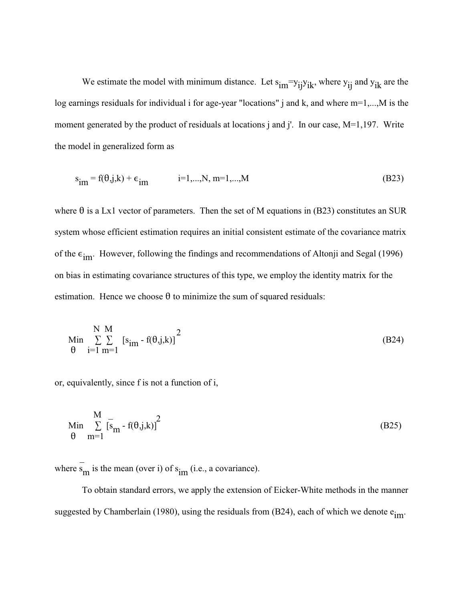We estimate the model with minimum distance. Let  $s_{im} = y_{ij} y_{ik}$ , where  $y_{ij}$  and  $y_{ik}$  are the log earnings residuals for individual i for age-year "locations" j and k, and where m=1,...,M is the moment generated by the product of residuals at locations j and j'. In our case, M=1,197. Write the model in generalized form as

$$
s_{im} = f(\theta, j, k) + \epsilon_{im} \qquad i = 1, ..., N, m = 1, ..., M \qquad (B23)
$$

where  $\theta$  is a Lx1 vector of parameters. Then the set of M equations in (B23) constitutes an SUR system whose efficient estimation requires an initial consistent estimate of the covariance matrix of the  $\epsilon_{\text{im}}$ . However, following the findings and recommendations of Altonji and Segal (1996) on bias in estimating covariance structures of this type, we employ the identity matrix for the estimation. Hence we choose  $\theta$  to minimize the sum of squared residuals:

$$
\begin{array}{ll}\n\text{Min} & \sum_{i=1}^{N} \sum_{m=1}^{M} \left[ s_{im} - f(\theta, j, k) \right]^2 \\
\theta &= 1 \, m = 1\n\end{array} \tag{B24}
$$

or, equivalently, since f is not a function of i,

 $\sim$ 

$$
\begin{array}{c}\n\text{Min} \\
\sum_{m=1}^{M} \left[ s_m - f(\theta, j, k) \right]^2\n\end{array} \tag{B25}
$$

where  $s<sub>m</sub>$  is the mean (over i) of  $s<sub>im</sub>$  (i.e., a covariance).

To obtain standard errors, we apply the extension of Eicker-White methods in the manner suggested by Chamberlain (1980), using the residuals from (B24), each of which we denote  $e_{im}$ .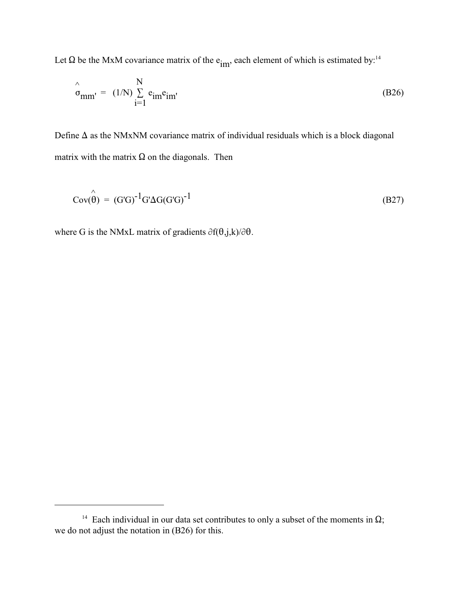Let  $\Omega$  be the MxM covariance matrix of the e<sub>im</sub>, each element of which is estimated by:<sup>14</sup>

$$
\hat{\sigma}_{mm'} = (1/N) \sum_{i=1}^{N} e_{im} e_{im'}
$$
 (B26)

Define  $\Delta$  as the NMxNM covariance matrix of individual residuals which is a block diagonal matrix with the matrix  $\Omega$  on the diagonals. Then

$$
Cov(\hat{\theta}) = (G'G)^{-1}G'\Delta G(G'G)^{-1}
$$
\n(B27)

where G is the NMxL matrix of gradients  $\partial f(\theta, j, k)/\partial \theta$ .

<sup>&</sup>lt;sup>14</sup> Each individual in our data set contributes to only a subset of the moments in  $\Omega$ ; we do not adjust the notation in (B26) for this.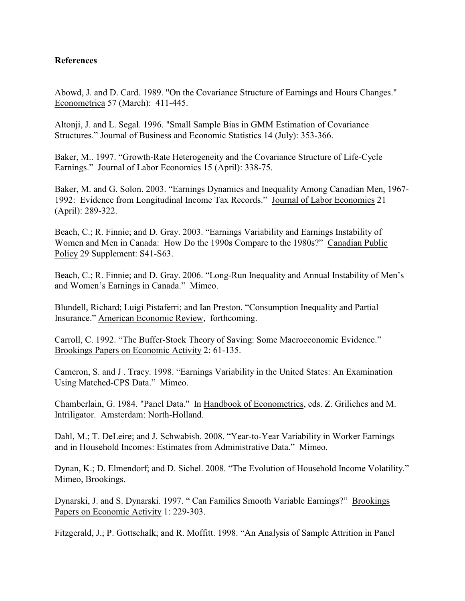## **References**

Abowd, J. and D. Card. 1989. "On the Covariance Structure of Earnings and Hours Changes." Econometrica 57 (March): 411-445.

Altonji, J. and L. Segal. 1996. "Small Sample Bias in GMM Estimation of Covariance Structures." Journal of Business and Economic Statistics 14 (July): 353-366.

Baker, M.. 1997. "Growth-Rate Heterogeneity and the Covariance Structure of Life-Cycle Earnings." Journal of Labor Economics 15 (April): 338-75.

Baker, M. and G. Solon. 2003. "Earnings Dynamics and Inequality Among Canadian Men, 1967- 1992: Evidence from Longitudinal Income Tax Records." Journal of Labor Economics 21 (April): 289-322.

Beach, C.; R. Finnie; and D. Gray. 2003. "Earnings Variability and Earnings Instability of Women and Men in Canada: How Do the 1990s Compare to the 1980s?" Canadian Public Policy 29 Supplement: S41-S63.

Beach, C.; R. Finnie; and D. Gray. 2006. "Long-Run Inequality and Annual Instability of Men's and Women's Earnings in Canada." Mimeo.

Blundell, Richard; Luigi Pistaferri; and Ian Preston. "Consumption Inequality and Partial Insurance." American Economic Review, forthcoming.

Carroll, C. 1992. "The Buffer-Stock Theory of Saving: Some Macroeconomic Evidence." Brookings Papers on Economic Activity 2: 61-135.

Cameron, S. and J . Tracy. 1998. "Earnings Variability in the United States: An Examination Using Matched-CPS Data." Mimeo.

Chamberlain, G. 1984. "Panel Data." In Handbook of Econometrics, eds. Z. Griliches and M. Intriligator. Amsterdam: North-Holland.

Dahl, M.; T. DeLeire; and J. Schwabish. 2008. "Year-to-Year Variability in Worker Earnings and in Household Incomes: Estimates from Administrative Data." Mimeo.

Dynan, K.; D. Elmendorf; and D. Sichel. 2008. "The Evolution of Household Income Volatility." Mimeo, Brookings.

Dynarski, J. and S. Dynarski. 1997. " Can Families Smooth Variable Earnings?" Brookings Papers on Economic Activity 1: 229-303.

Fitzgerald, J.; P. Gottschalk; and R. Moffitt. 1998. "An Analysis of Sample Attrition in Panel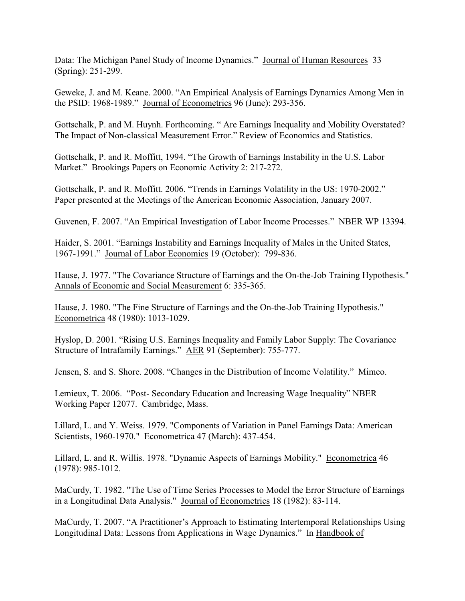Data: The Michigan Panel Study of Income Dynamics." Journal of Human Resources 33 (Spring): 251-299.

Geweke, J. and M. Keane. 2000. "An Empirical Analysis of Earnings Dynamics Among Men in the PSID: 1968-1989." Journal of Econometrics 96 (June): 293-356.

Gottschalk, P. and M. Huynh. Forthcoming. " Are Earnings Inequality and Mobility Overstated? The Impact of Non-classical Measurement Error." Review of Economics and Statistics.

Gottschalk, P. and R. Moffitt, 1994. "The Growth of Earnings Instability in the U.S. Labor Market." Brookings Papers on Economic Activity 2: 217-272.

Gottschalk, P. and R. Moffitt. 2006. "Trends in Earnings Volatility in the US: 1970-2002." Paper presented at the Meetings of the American Economic Association, January 2007.

Guvenen, F. 2007. "An Empirical Investigation of Labor Income Processes." NBER WP 13394.

Haider, S. 2001. "Earnings Instability and Earnings Inequality of Males in the United States, 1967-1991." Journal of Labor Economics 19 (October): 799-836.

Hause, J. 1977. "The Covariance Structure of Earnings and the On-the-Job Training Hypothesis." Annals of Economic and Social Measurement 6: 335-365.

Hause, J. 1980. "The Fine Structure of Earnings and the On-the-Job Training Hypothesis." Econometrica 48 (1980): 1013-1029.

Hyslop, D. 2001. "Rising U.S. Earnings Inequality and Family Labor Supply: The Covariance Structure of Intrafamily Earnings." AER 91 (September): 755-777.

Jensen, S. and S. Shore. 2008. "Changes in the Distribution of Income Volatility." Mimeo.

Lemieux, T. 2006. "Post- Secondary Education and Increasing Wage Inequality" NBER Working Paper 12077. Cambridge, Mass.

Lillard, L. and Y. Weiss. 1979. "Components of Variation in Panel Earnings Data: American Scientists, 1960-1970." Econometrica 47 (March): 437-454.

Lillard, L. and R. Willis. 1978. "Dynamic Aspects of Earnings Mobility." Econometrica 46 (1978): 985-1012.

MaCurdy, T. 1982. "The Use of Time Series Processes to Model the Error Structure of Earnings in a Longitudinal Data Analysis." Journal of Econometrics 18 (1982): 83-114.

MaCurdy, T. 2007. "A Practitioner's Approach to Estimating Intertemporal Relationships Using Longitudinal Data: Lessons from Applications in Wage Dynamics." In Handbook of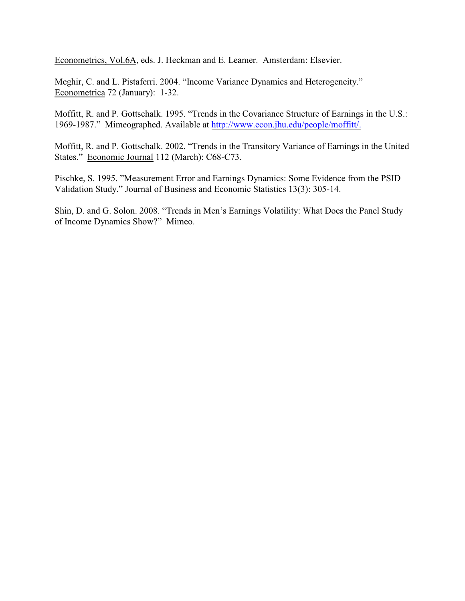Econometrics, Vol.6A, eds. J. Heckman and E. Leamer. Amsterdam: Elsevier.

Meghir, C. and L. Pistaferri. 2004. "Income Variance Dynamics and Heterogeneity." Econometrica 72 (January): 1-32.

Moffitt, R. and P. Gottschalk. 1995. "Trends in the Covariance Structure of Earnings in the U.S.: 1969-1987." Mimeographed. Available at<http://www.econ.jhu.edu/people/moffitt/.>

Moffitt, R. and P. Gottschalk. 2002. "Trends in the Transitory Variance of Earnings in the United States." Economic Journal 112 (March): C68-C73.

Pischke, S. 1995. "Measurement Error and Earnings Dynamics: Some Evidence from the PSID Validation Study." Journal of Business and Economic Statistics 13(3): 305-14.

Shin, D. and G. Solon. 2008. "Trends in Men's Earnings Volatility: What Does the Panel Study of Income Dynamics Show?" Mimeo.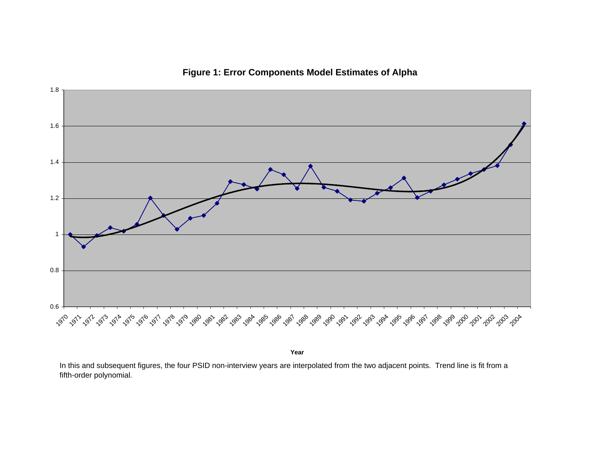

**Figure 1: Error Components Model Estimates of Alpha**

**Year**

In this and subsequent figures, the four PSID non-interview years are interpolated from the two adjacent points. Trend line is fit from a fifth-order polynomial.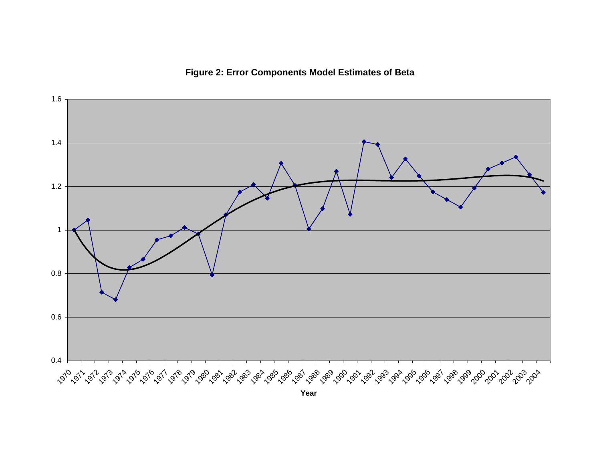**Figure 2: Error Components Model Estimates of Beta**



**Year**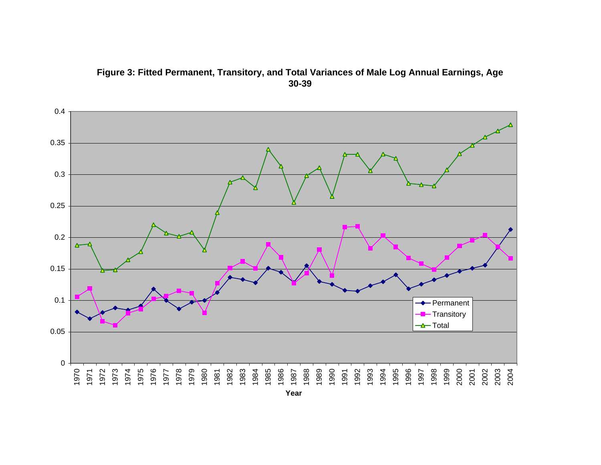# **Figure 3: Fitted Permanent, Transitory, and Total Variances of Male Log Annual Earnings, Age 30-39**

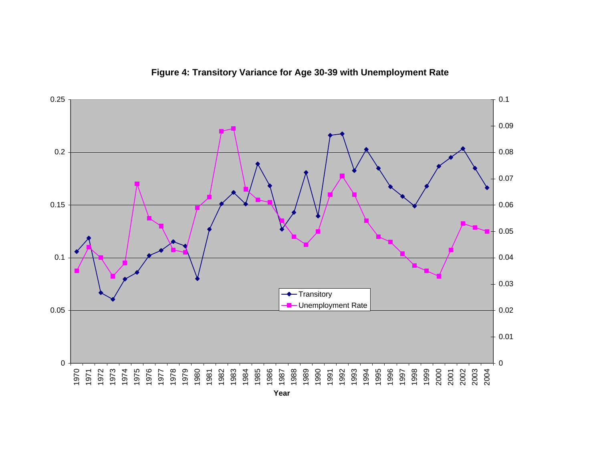

**Figure 4: Transitory Variance for Age 30-39 with Unemployment Rate**

**Year**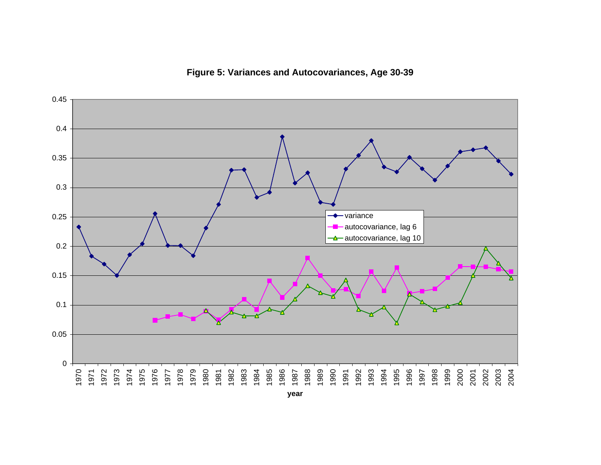**Figure 5: Variances and Autocovariances, Age 30-39**

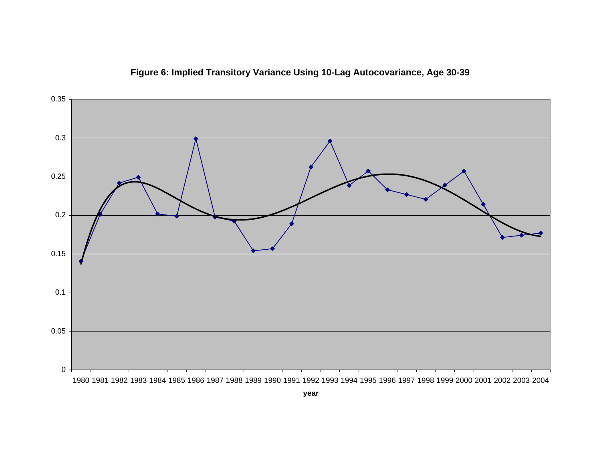

**Figure 6: Implied Transitory Variance Using 10-Lag Autocovariance, Age 30-39**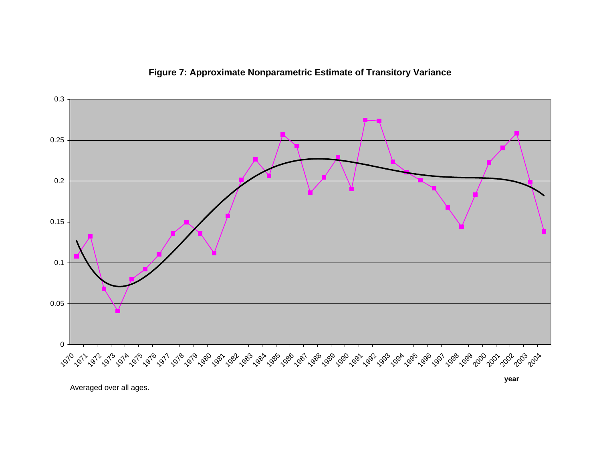

**Figure 7: Approximate Nonparametric Estimate of Transitory Variance**

Averaged over all ages.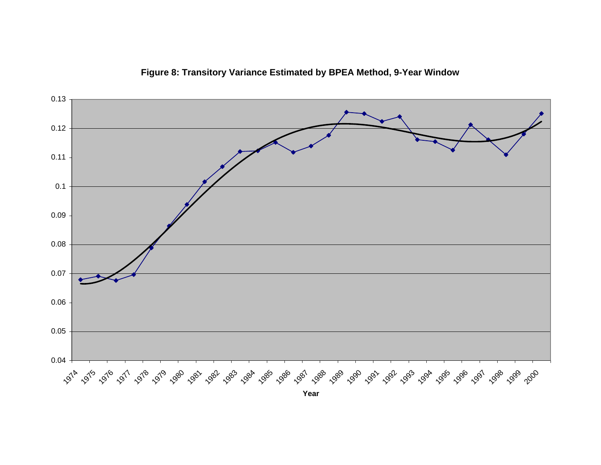

**Figure 8: Transitory Variance Estimated by BPEA Method, 9-Year Window**

**Year**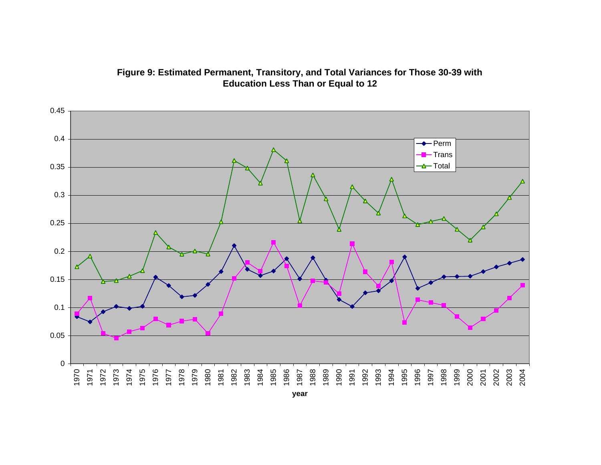

**Figure 9: Estimated Permanent, Transitory, and Total Variances for Those 30-39 with Education Less Than or Equal to 12**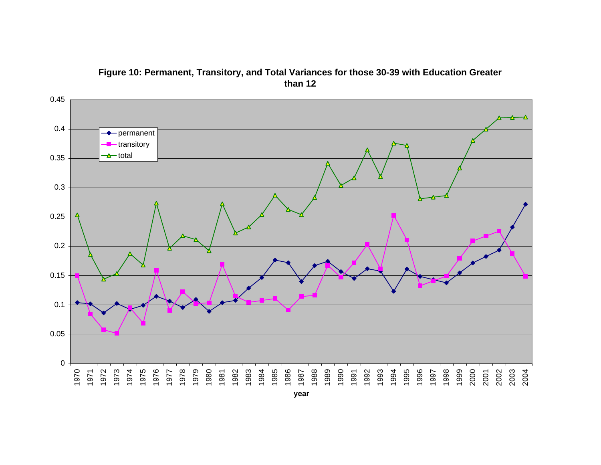

**Figure 10: Permanent, Transitory, and Total Variances for those 30-39 with Education Greater than 12**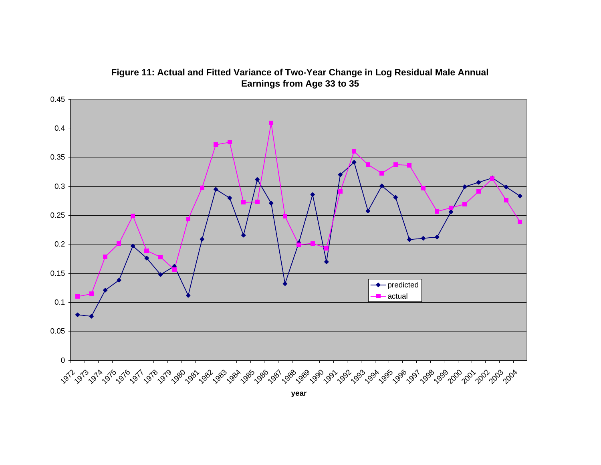

**Figure 11: Actual and Fitted Variance of Two-Year Change in Log Residual Male Annual Earnings from Age 33 to 35**